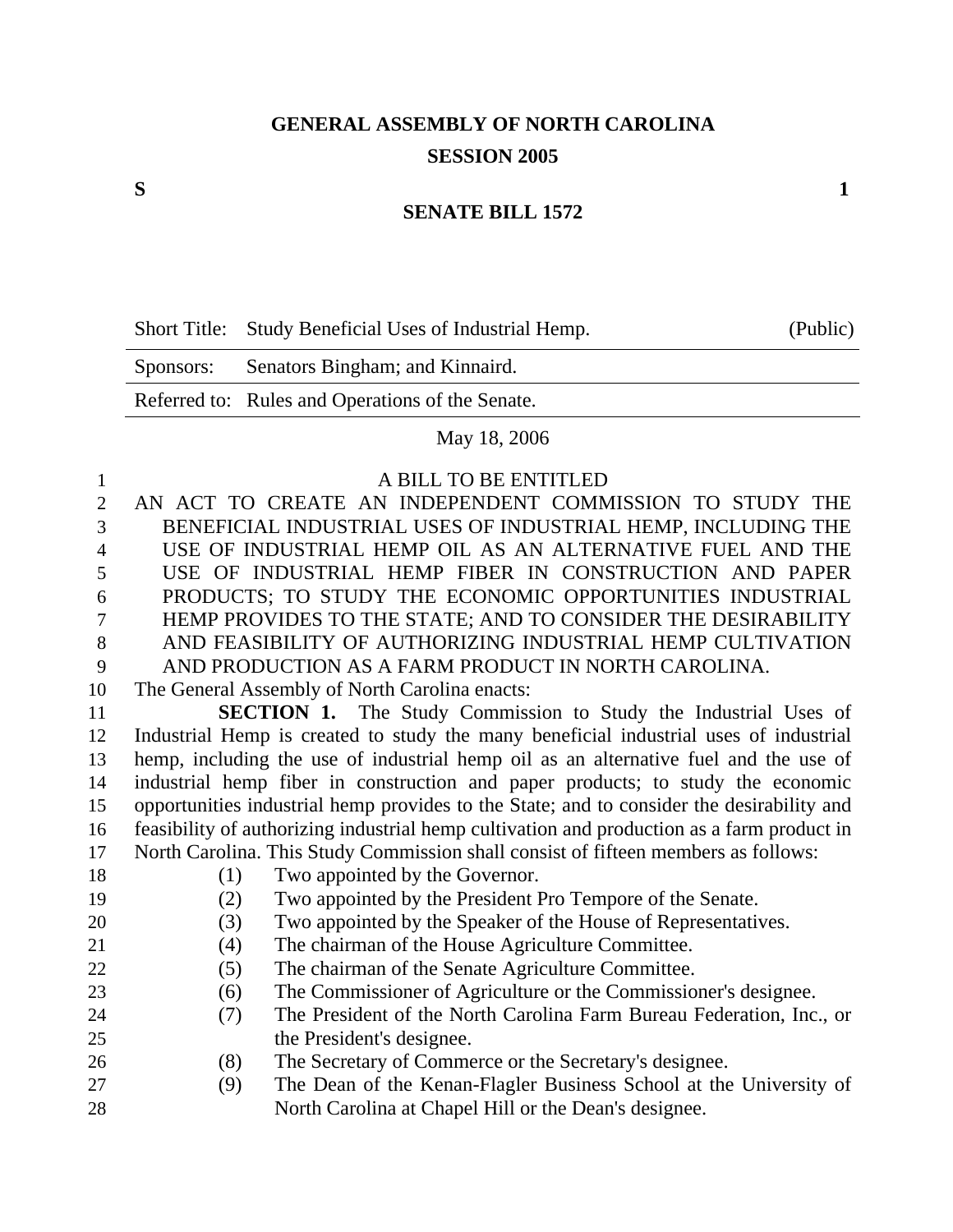## **GENERAL ASSEMBLY OF NORTH CAROLINA SESSION 2005**

## **SENATE BILL 1572**

| Short Title: Study Beneficial Uses of Industrial Hemp. | (Public) |
|--------------------------------------------------------|----------|
| Sponsors: Senators Bingham; and Kinnaird.              |          |

Referred to: Rules and Operations of the Senate.

## May 18, 2006

## 1 A BILL TO BE ENTITLED

| $\overline{2}$ |     | AN ACT TO CREATE AN INDEPENDENT COMMISSION TO STUDY THE                                    |
|----------------|-----|--------------------------------------------------------------------------------------------|
| 3              |     | BENEFICIAL INDUSTRIAL USES OF INDUSTRIAL HEMP, INCLUDING THE                               |
| $\overline{4}$ |     | USE OF INDUSTRIAL HEMP OIL AS AN ALTERNATIVE FUEL AND THE                                  |
| 5              |     | USE OF INDUSTRIAL HEMP FIBER IN CONSTRUCTION AND PAPER                                     |
| 6              |     | PRODUCTS; TO STUDY THE ECONOMIC OPPORTUNITIES INDUSTRIAL                                   |
| 7              |     | HEMP PROVIDES TO THE STATE; AND TO CONSIDER THE DESIRABILITY                               |
| 8              |     | AND FEASIBILITY OF AUTHORIZING INDUSTRIAL HEMP CULTIVATION                                 |
| 9              |     | AND PRODUCTION AS A FARM PRODUCT IN NORTH CAROLINA.                                        |
| 10             |     | The General Assembly of North Carolina enacts:                                             |
| 11             |     | <b>SECTION 1.</b> The Study Commission to Study the Industrial Uses of                     |
| 12             |     | Industrial Hemp is created to study the many beneficial industrial uses of industrial      |
| 13             |     | hemp, including the use of industrial hemp oil as an alternative fuel and the use of       |
| 14             |     | industrial hemp fiber in construction and paper products; to study the economic            |
| 15             |     | opportunities industrial hemp provides to the State; and to consider the desirability and  |
| 16             |     | feasibility of authorizing industrial hemp cultivation and production as a farm product in |
| 17             |     | North Carolina. This Study Commission shall consist of fifteen members as follows:         |
| 18             | (1) | Two appointed by the Governor.                                                             |
| 19             | (2) | Two appointed by the President Pro Tempore of the Senate.                                  |
| 20             | (3) | Two appointed by the Speaker of the House of Representatives.                              |
| 21             | (4) | The chairman of the House Agriculture Committee.                                           |
| 22             | (5) | The chairman of the Senate Agriculture Committee.                                          |
| 23             | (6) | The Commissioner of Agriculture or the Commissioner's designee.                            |
| 24             | (7) | The President of the North Carolina Farm Bureau Federation, Inc., or                       |
| 25             |     | the President's designee.                                                                  |
| 26             | (8) | The Secretary of Commerce or the Secretary's designee.                                     |
| 27             | (9) | The Dean of the Kenan-Flagler Business School at the University of                         |
| 28             |     | North Carolina at Chapel Hill or the Dean's designee.                                      |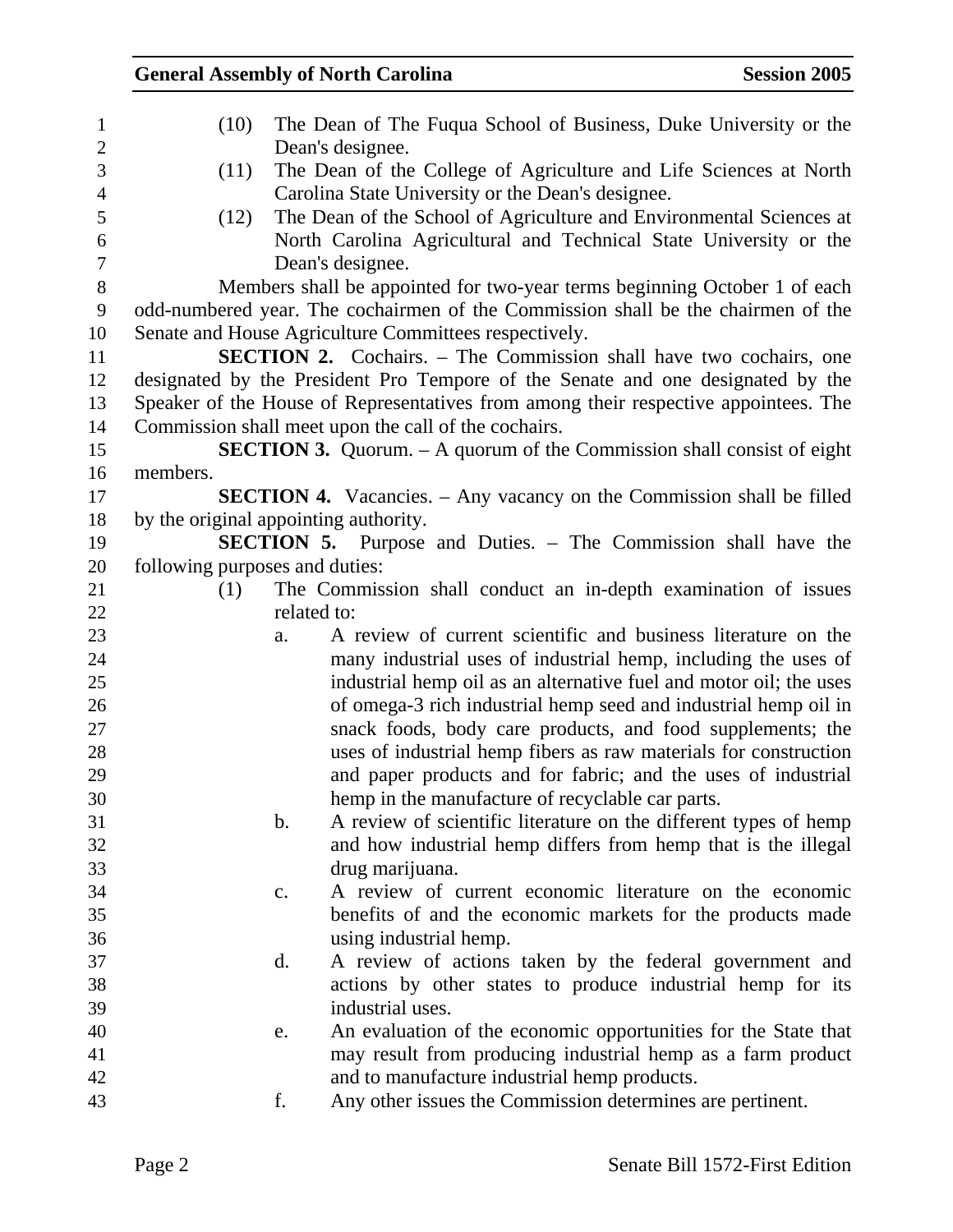| $\mathbf{1}$     | (10)                                  | The Dean of The Fuqua School of Business, Duke University or the                    |
|------------------|---------------------------------------|-------------------------------------------------------------------------------------|
| $\mathbf{2}$     |                                       | Dean's designee.                                                                    |
| 3                | (11)                                  | The Dean of the College of Agriculture and Life Sciences at North                   |
| $\overline{4}$   |                                       | Carolina State University or the Dean's designee.                                   |
| 5                | (12)                                  | The Dean of the School of Agriculture and Environmental Sciences at                 |
| $\boldsymbol{6}$ |                                       | North Carolina Agricultural and Technical State University or the                   |
| $\overline{7}$   |                                       | Dean's designee.                                                                    |
| $8\,$            |                                       | Members shall be appointed for two-year terms beginning October 1 of each           |
| 9                |                                       | odd-numbered year. The cochairmen of the Commission shall be the chairmen of the    |
| 10               |                                       | Senate and House Agriculture Committees respectively.                               |
| 11               |                                       | SECTION 2. Cochairs. - The Commission shall have two cochairs, one                  |
| 12               |                                       | designated by the President Pro Tempore of the Senate and one designated by the     |
| 13               |                                       | Speaker of the House of Representatives from among their respective appointees. The |
| 14               |                                       | Commission shall meet upon the call of the cochairs.                                |
| 15               |                                       | <b>SECTION 3.</b> Quorum. $-$ A quorum of the Commission shall consist of eight     |
| 16               | members.                              |                                                                                     |
| 17               |                                       | <b>SECTION 4.</b> Vacancies. – Any vacancy on the Commission shall be filled        |
| 18               | by the original appointing authority. |                                                                                     |
| 19               |                                       | <b>SECTION 5.</b> Purpose and Duties. – The Commission shall have the               |
| 20               | following purposes and duties:        |                                                                                     |
| 21               | (1)                                   | The Commission shall conduct an in-depth examination of issues                      |
| 22               | related to:                           |                                                                                     |
| 23               | a.                                    | A review of current scientific and business literature on the                       |
| 24               |                                       | many industrial uses of industrial hemp, including the uses of                      |
| 25               |                                       | industrial hemp oil as an alternative fuel and motor oil; the uses                  |
| 26               |                                       | of omega-3 rich industrial hemp seed and industrial hemp oil in                     |
| 27               |                                       | snack foods, body care products, and food supplements; the                          |
| 28               |                                       | uses of industrial hemp fibers as raw materials for construction                    |
| 29               |                                       | and paper products and for fabric; and the uses of industrial                       |
| 30               |                                       | hemp in the manufacture of recyclable car parts.                                    |
| 31               | b.                                    | A review of scientific literature on the different types of hemp                    |
| 32               |                                       | and how industrial hemp differs from hemp that is the illegal                       |
| 33               |                                       | drug marijuana.                                                                     |
| 34               | c.                                    | A review of current economic literature on the economic                             |
| 35               |                                       | benefits of and the economic markets for the products made                          |
| 36               |                                       | using industrial hemp.                                                              |
| 37               | d.                                    | A review of actions taken by the federal government and                             |
| 38               |                                       | actions by other states to produce industrial hemp for its                          |
| 39               |                                       | industrial uses.                                                                    |
| 40               | e.                                    | An evaluation of the economic opportunities for the State that                      |
| 41               |                                       | may result from producing industrial hemp as a farm product                         |
| 42               |                                       | and to manufacture industrial hemp products.                                        |
| 43               | f.                                    | Any other issues the Commission determines are pertinent.                           |